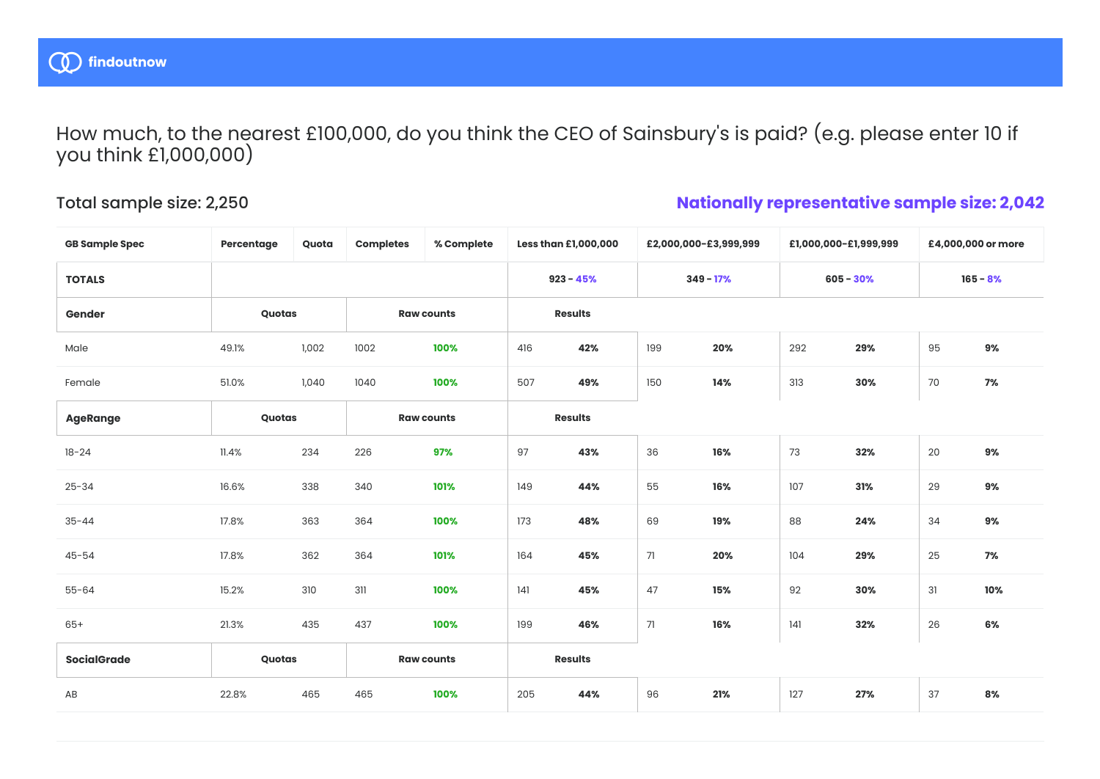

How much, to the nearest £100,000, do you think the CEO of Sainsbury's is paid? (e.g. please enter 10 if you think £1,000,000)

## Total sample size: 2,250

## **Nationally representative sample size: 2,042**

| <b>GB Sample Spec</b> | Percentage | Quota | <b>Completes</b>  | % Complete  |                | Less than £1,000,000 | £2,000,000-£3,999,999 |             | £1,000,000-£1,999,999 |            | £4,000,000 or more |       |
|-----------------------|------------|-------|-------------------|-------------|----------------|----------------------|-----------------------|-------------|-----------------------|------------|--------------------|-------|
| <b>TOTALS</b>         |            |       |                   | $923 - 45%$ |                | $349 - 17%$          |                       | $605 - 30%$ |                       | $165 - 8%$ |                    |       |
| Gender                | Quotas     |       | <b>Raw counts</b> |             | <b>Results</b> |                      |                       |             |                       |            |                    |       |
| Male                  | 49.1%      | 1,002 | 1002              | 100%        | 416            | 42%                  | 199                   | 20%         | 292                   | 29%        | 95                 | 9%    |
| Female                | 51.0%      | 1,040 | 1040              | 100%        | 507            | 49%                  | 150                   | 14%         | 313                   | 30%        | 70                 | 7%    |
| <b>AgeRange</b>       | Quotas     |       | <b>Raw counts</b> |             |                | <b>Results</b>       |                       |             |                       |            |                    |       |
| $18 - 24$             | 11.4%      | 234   | 226               | 97%         | 97             | 43%                  | 36                    | 16%         | 73                    | 32%        | 20                 | 9%    |
| $25 - 34$             | 16.6%      | 338   | 340               | 101%        | 149            | 44%                  | 55                    | 16%         | 107                   | 31%        | 29                 | $9\%$ |
| $35 - 44$             | 17.8%      | 363   | 364               | 100%        | 173            | 48%                  | 69                    | 19%         | 88                    | 24%        | 34                 | 9%    |
| $45 - 54$             | 17.8%      | 362   | 364               | 101%        | 164            | 45%                  | 71                    | 20%         | 104                   | 29%        | 25                 | 7%    |
| $55 - 64$             | 15.2%      | 310   | 311               | 100%        | 4              | 45%                  | 47                    | 15%         | 92                    | 30%        | 31                 | 10%   |
| $65+$                 | 21.3%      | 435   | 437               | 100%        | 199            | 46%                  | 71                    | 16%         | 141                   | 32%        | 26                 | 6%    |
| <b>SocialGrade</b>    | Quotas     |       | <b>Raw counts</b> |             | <b>Results</b> |                      |                       |             |                       |            |                    |       |
| AB                    | 22.8%      | 465   | 465               | 100%        | 205            | 44%                  | 96                    | 21%         | 127                   | 27%        | 37                 | 8%    |